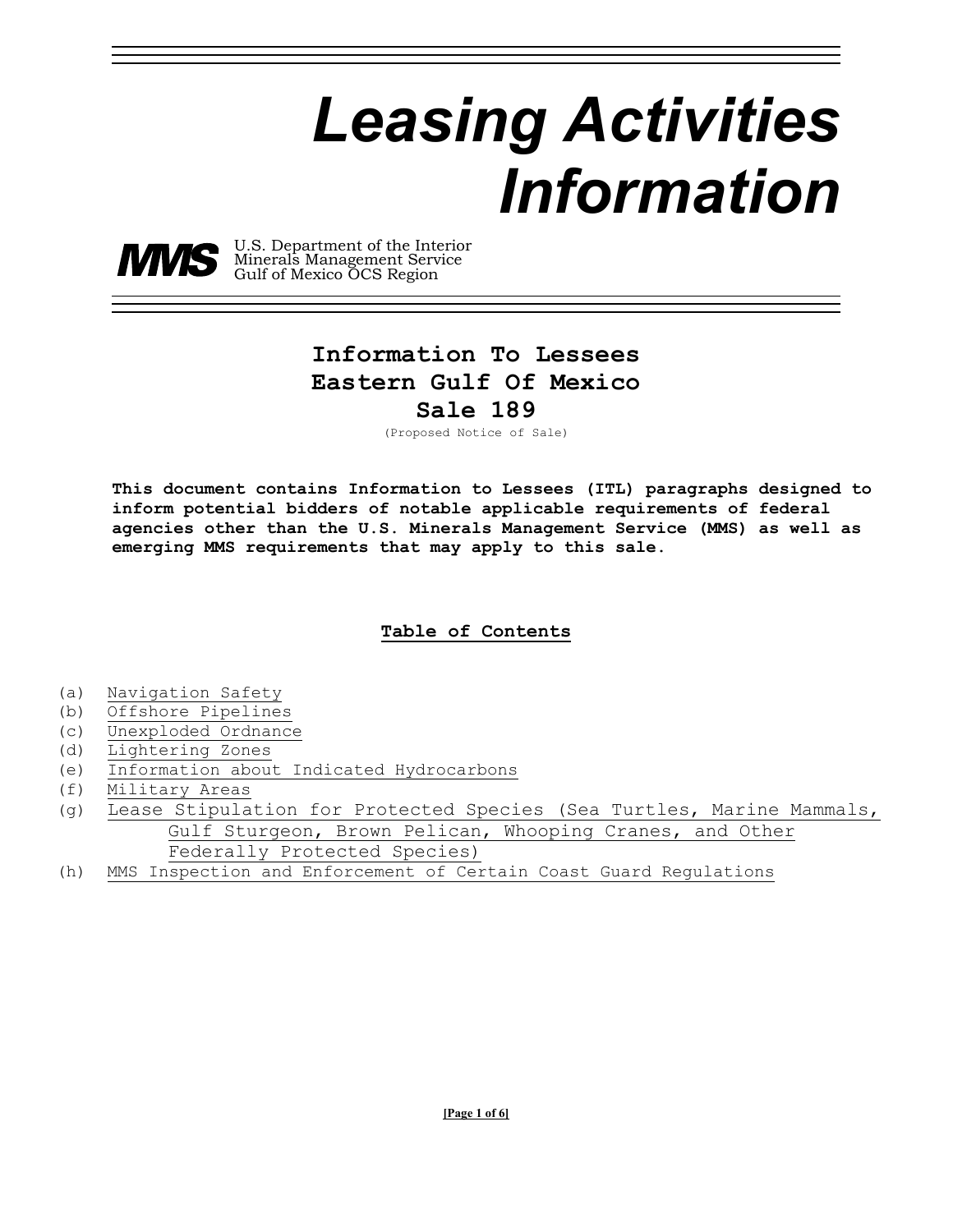# *Leasing Activities Information*



 U.S. Department of the Interior Minerals Management Service Gulf of Mexico OCS Region

# **Information To Lessees Eastern Gulf Of Mexico**

**Sale 189** 

(Proposed Notice of Sale)

**This document contains Information to Lessees (ITL) paragraphs designed to inform potential bidders of notable applicable requirements of federal agencies other than the U.S. Minerals Management Service (MMS) as well as emerging MMS requirements that may apply to this sale.** 

## **Table of Contents**

- (a) Navigation Safety
- (b) Offshore Pipelines
- (c) Unexploded Ordnance
- (d) Lightering Zones
- (e) Information about Indicated Hydrocarbons
- (f) Military Areas
- (g) Lease Stipulation for Protected Species (Sea Turtles, Marine Mammals, Gulf Sturgeon, Brown Pelican, Whooping Cranes, and Other Federally Protected Species)
- (h) MMS Inspection and Enforcement of Certain Coast Guard Regulations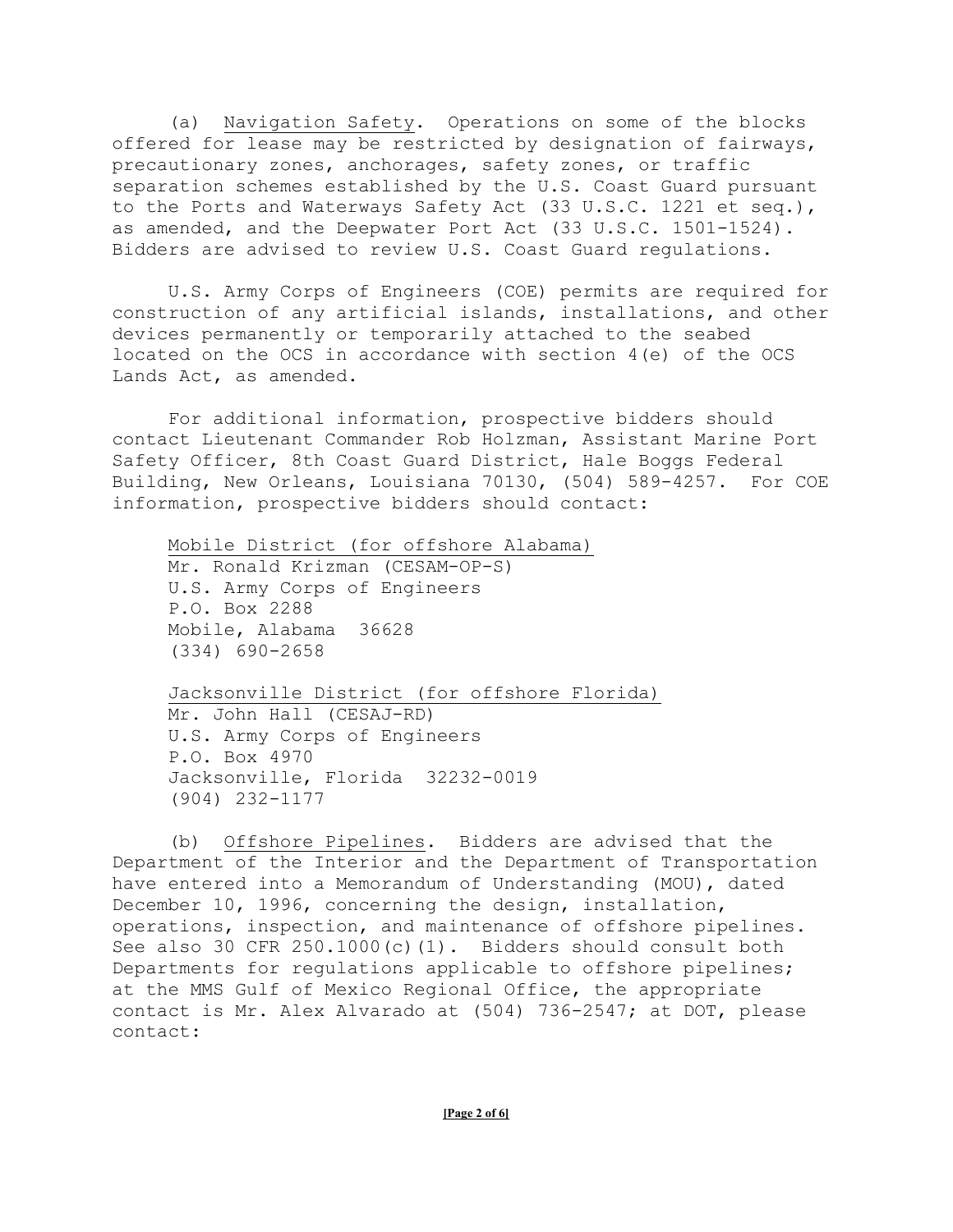(a) Navigation Safety. Operations on some of the blocks offered for lease may be restricted by designation of fairways, precautionary zones, anchorages, safety zones, or traffic separation schemes established by the U.S. Coast Guard pursuant to the Ports and Waterways Safety Act (33 U.S.C. 1221 et seq.), as amended, and the Deepwater Port Act (33 U.S.C. 1501-1524). Bidders are advised to review U.S. Coast Guard regulations.

U.S. Army Corps of Engineers (COE) permits are required for construction of any artificial islands, installations, and other devices permanently or temporarily attached to the seabed located on the OCS in accordance with section 4(e) of the OCS Lands Act, as amended.

For additional information, prospective bidders should contact Lieutenant Commander Rob Holzman, Assistant Marine Port Safety Officer, 8th Coast Guard District, Hale Boggs Federal Building, New Orleans, Louisiana 70130, (504) 589-4257. For COE information, prospective bidders should contact:

Mobile District (for offshore Alabama) Mr. Ronald Krizman (CESAM-OP-S) U.S. Army Corps of Engineers P.O. Box 2288 Mobile, Alabama 36628 (334) 690-2658

Jacksonville District (for offshore Florida) Mr. John Hall (CESAJ-RD) U.S. Army Corps of Engineers P.O. Box 4970 Jacksonville, Florida 32232-0019 (904) 232-1177

(b) Offshore Pipelines. Bidders are advised that the Department of the Interior and the Department of Transportation have entered into a Memorandum of Understanding (MOU), dated December 10, 1996, concerning the design, installation, operations, inspection, and maintenance of offshore pipelines. See also 30 CFR 250.1000(c)(1). Bidders should consult both Departments for regulations applicable to offshore pipelines; at the MMS Gulf of Mexico Regional Office, the appropriate contact is Mr. Alex Alvarado at (504) 736-2547; at DOT, please contact: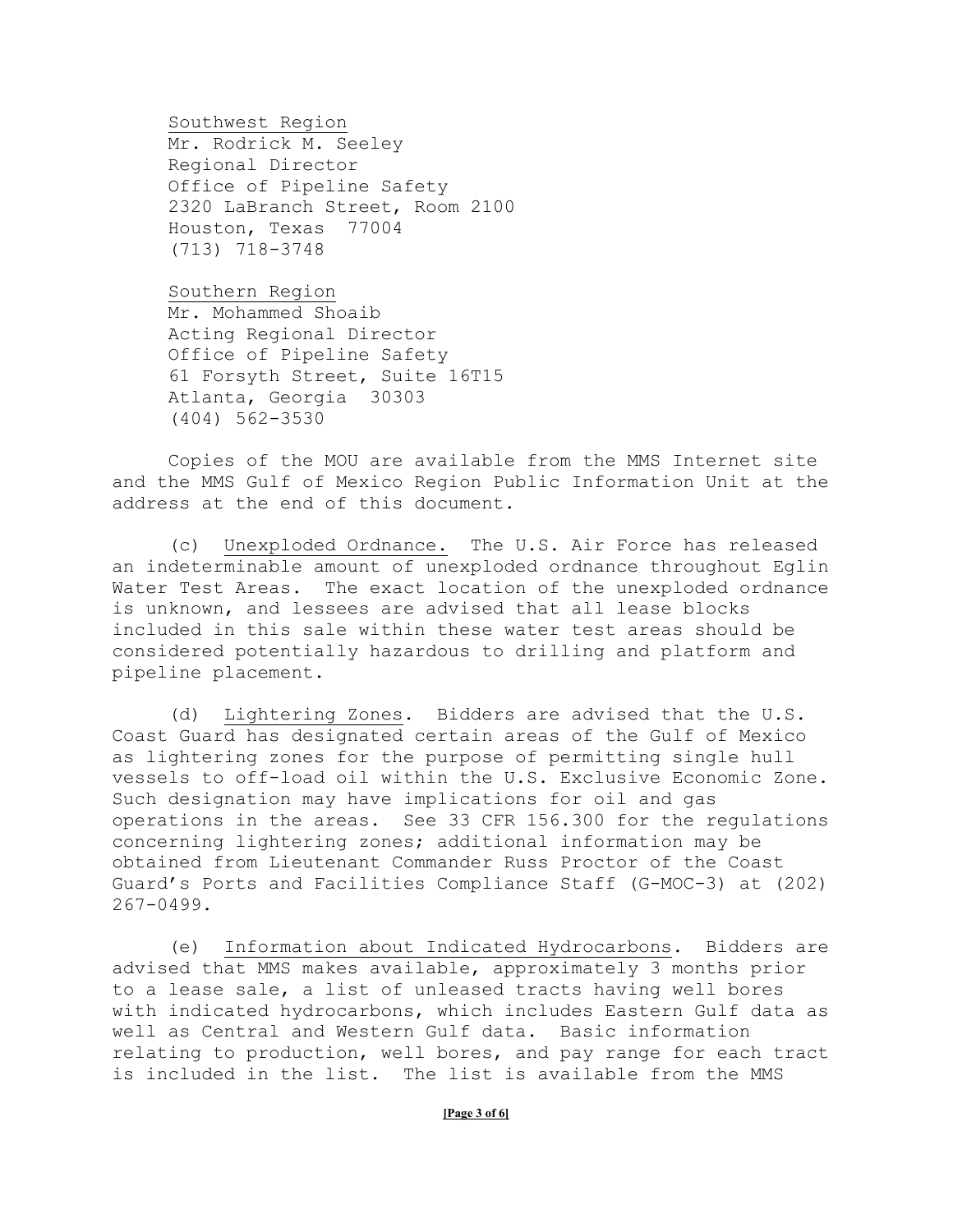Southwest Region Mr. Rodrick M. Seeley Regional Director Office of Pipeline Safety 2320 LaBranch Street, Room 2100 Houston, Texas 77004 (713) 718-3748

Southern Region Mr. Mohammed Shoaib Acting Regional Director Office of Pipeline Safety 61 Forsyth Street, Suite 16T15 Atlanta, Georgia 30303 (404) 562-3530

Copies of the MOU are available from the MMS Internet site and the MMS Gulf of Mexico Region Public Information Unit at the address at the end of this document.

(c) Unexploded Ordnance. The U.S. Air Force has released an indeterminable amount of unexploded ordnance throughout Eglin Water Test Areas. The exact location of the unexploded ordnance is unknown, and lessees are advised that all lease blocks included in this sale within these water test areas should be considered potentially hazardous to drilling and platform and pipeline placement.

(d) Lightering Zones. Bidders are advised that the U.S. Coast Guard has designated certain areas of the Gulf of Mexico as lightering zones for the purpose of permitting single hull vessels to off-load oil within the U.S. Exclusive Economic Zone. Such designation may have implications for oil and gas operations in the areas. See 33 CFR 156.300 for the regulations concerning lightering zones; additional information may be obtained from Lieutenant Commander Russ Proctor of the Coast Guard's Ports and Facilities Compliance Staff (G-MOC-3) at (202) 267-0499.

(e) Information about Indicated Hydrocarbons. Bidders are advised that MMS makes available, approximately 3 months prior to a lease sale, a list of unleased tracts having well bores with indicated hydrocarbons, which includes Eastern Gulf data as well as Central and Western Gulf data. Basic information relating to production, well bores, and pay range for each tract is included in the list. The list is available from the MMS

### **[Page 3 of 6]**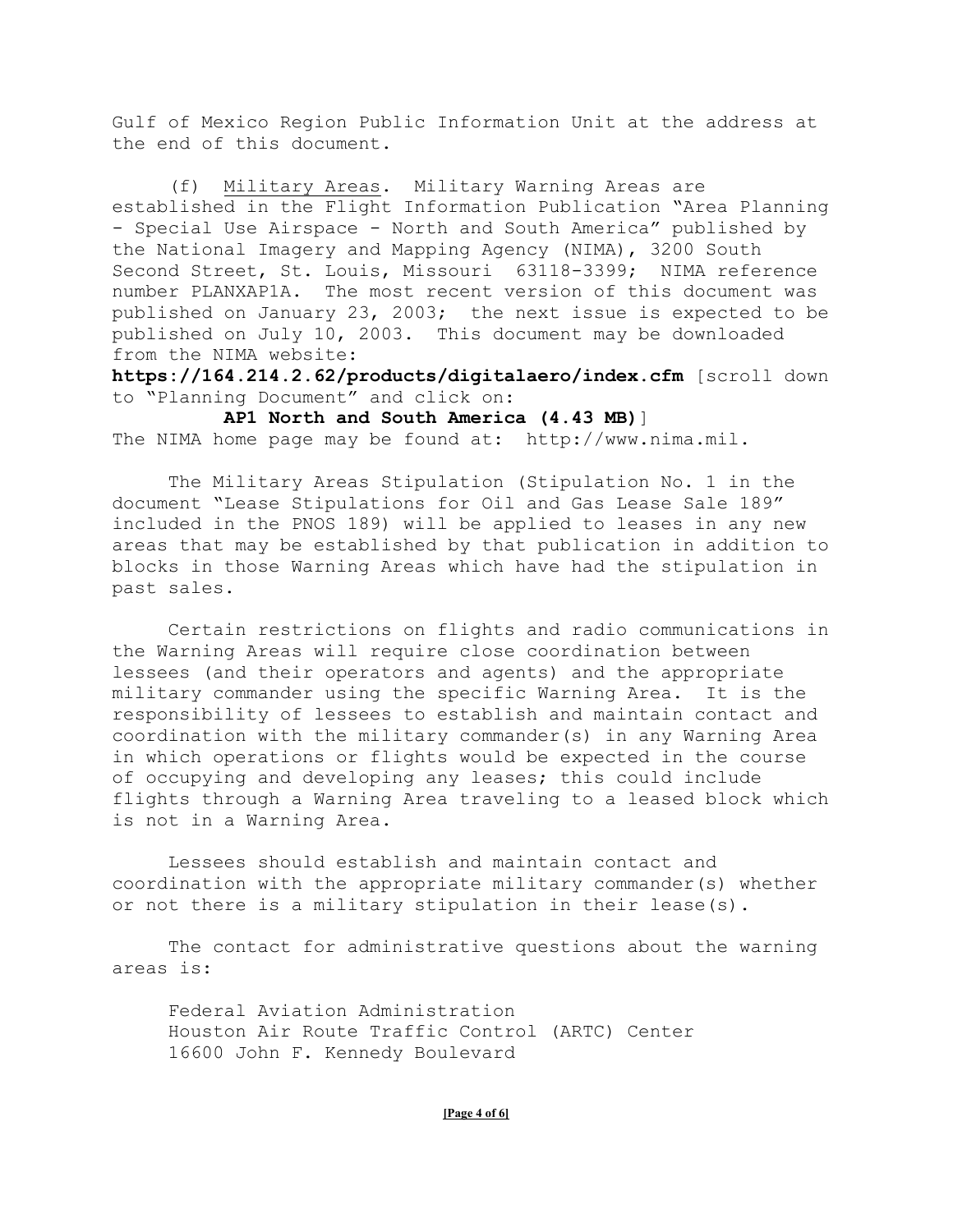Gulf of Mexico Region Public Information Unit at the address at the end of this document.

(f) Military Areas. Military Warning Areas are established in the Flight Information Publication "Area Planning - Special Use Airspace - North and South America" published by the National Imagery and Mapping Agency (NIMA), 3200 South Second Street, St. Louis, Missouri 63118-3399; NIMA reference number PLANXAP1A. The most recent version of this document was published on January 23, 2003; the next issue is expected to be published on July 10, 2003. This document may be downloaded from the NIMA website:

**https://164.214.2.62/products/digitalaero/index.cfm** [scroll down to "Planning Document" and click on:

 **AP1 North and South America (4.43 MB)**] The NIMA home page may be found at: http://www.nima.mil.

The Military Areas Stipulation (Stipulation No. 1 in the document "Lease Stipulations for Oil and Gas Lease Sale 189" included in the PNOS 189) will be applied to leases in any new areas that may be established by that publication in addition to blocks in those Warning Areas which have had the stipulation in past sales.

Certain restrictions on flights and radio communications in the Warning Areas will require close coordination between lessees (and their operators and agents) and the appropriate military commander using the specific Warning Area. It is the responsibility of lessees to establish and maintain contact and coordination with the military commander(s) in any Warning Area in which operations or flights would be expected in the course of occupying and developing any leases; this could include flights through a Warning Area traveling to a leased block which is not in a Warning Area.

Lessees should establish and maintain contact and coordination with the appropriate military commander(s) whether or not there is a military stipulation in their lease(s).

The contact for administrative questions about the warning areas is:

Federal Aviation Administration Houston Air Route Traffic Control (ARTC) Center 16600 John F. Kennedy Boulevard

#### **[Page 4 of 6]**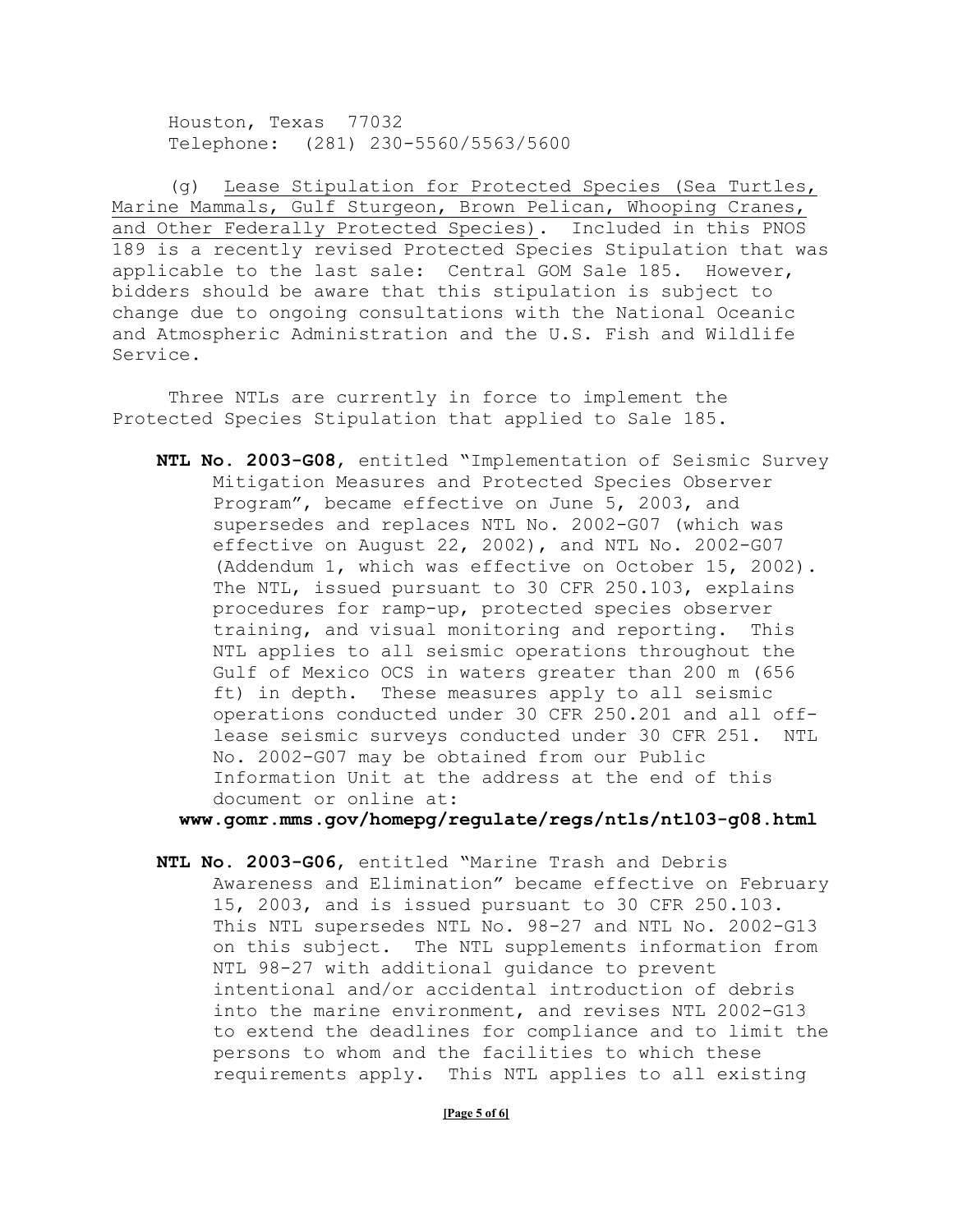Houston, Texas 77032 Telephone: (281) 230-5560/5563/5600

(g) Lease Stipulation for Protected Species (Sea Turtles, Marine Mammals, Gulf Sturgeon, Brown Pelican, Whooping Cranes, and Other Federally Protected Species). Included in this PNOS 189 is a recently revised Protected Species Stipulation that was applicable to the last sale: Central GOM Sale 185. However, bidders should be aware that this stipulation is subject to change due to ongoing consultations with the National Oceanic and Atmospheric Administration and the U.S. Fish and Wildlife Service.

Three NTLs are currently in force to implement the Protected Species Stipulation that applied to Sale 185.

**NTL No. 2003-G08**, entitled "Implementation of Seismic Survey Mitigation Measures and Protected Species Observer Program", became effective on June 5, 2003, and supersedes and replaces NTL No. 2002-G07 (which was effective on August 22, 2002), and NTL No. 2002-G07 (Addendum 1, which was effective on October 15, 2002). The NTL, issued pursuant to 30 CFR 250.103, explains procedures for ramp-up, protected species observer training, and visual monitoring and reporting. This NTL applies to all seismic operations throughout the Gulf of Mexico OCS in waters greater than 200 m (656 ft) in depth. These measures apply to all seismic operations conducted under 30 CFR 250.201 and all offlease seismic surveys conducted under 30 CFR 251. NTL No. 2002-G07 may be obtained from our Public Information Unit at the address at the end of this document or online at:

**www.gomr.mms.gov/homepg/regulate/regs/ntls/ntl03-g08.html** 

**NTL No. 2003-G06**, entitled "Marine Trash and Debris Awareness and Elimination" became effective on February 15, 2003, and is issued pursuant to 30 CFR 250.103. This NTL supersedes NTL No. 98-27 and NTL No. 2002-G13 on this subject. The NTL supplements information from NTL 98-27 with additional guidance to prevent intentional and/or accidental introduction of debris into the marine environment, and revises NTL 2002-G13 to extend the deadlines for compliance and to limit the persons to whom and the facilities to which these requirements apply. This NTL applies to all existing

**[Page 5 of 6]**